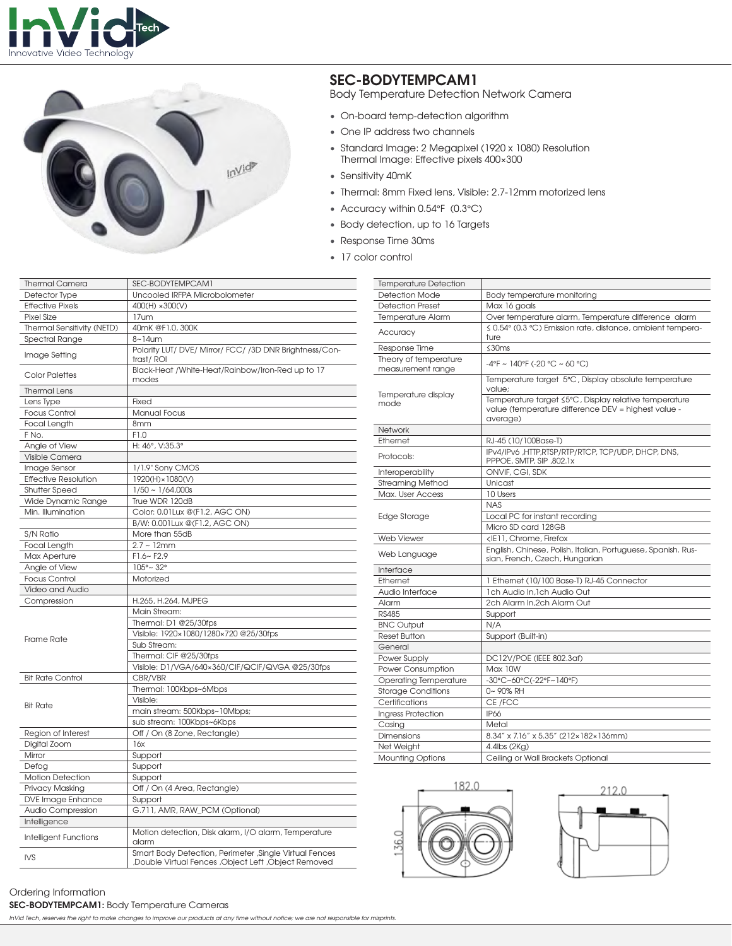



## **SEC-BODYTEMPCAM1**

Body Temperature Detection Network Camera

- On-board temp-detection algorithm
- One IP address two channels
- Standard Image: 2 Megapixel (1920 x 1080) Resolution Thermal Image: Effective pixels 400×300
- Sensitivity 40mK
- Thermal: 8mm Fixed lens, Visible: 2.7-12mm motorized lens
- Accuracy within 0.54°F (0.3°C)
- Body detection, up to 16 Targets
- Response Time 30ms
- 17 color control

| <b>Thermal Camera</b>       | SEC-BODYTEMPCAM1                                                                                                |
|-----------------------------|-----------------------------------------------------------------------------------------------------------------|
| Detector Type               | Uncooled IRFPA Microbolometer                                                                                   |
| <b>Effective Pixels</b>     | 400(H) ×300(V)                                                                                                  |
| <b>Pixel Size</b>           | 17um                                                                                                            |
| Thermal Sensitivity (NETD)  | 40mK @F1.0, 300K                                                                                                |
| Spectral Range              | $8 - 14$ um                                                                                                     |
| Image Setting               | Polarity LUT/DVE/Mirror/FCC//3DDNR Brightness/Con-<br>trast/ROI                                                 |
| <b>Color Palettes</b>       | Black-Heat /White-Heat/Rainbow/Iron-Red up to 17<br>modes                                                       |
| <b>Thermal Lens</b>         |                                                                                                                 |
| Lens Type                   | Fixed                                                                                                           |
| <b>Focus Control</b>        | <b>Manual Focus</b>                                                                                             |
| Focal Length                | 8mm                                                                                                             |
| F No.                       | F1.0                                                                                                            |
| Angle of View               | H: 46°, V:35.3°                                                                                                 |
| Visible Camera              |                                                                                                                 |
| Image Sensor                | 1/1.9" Sony CMOS                                                                                                |
| <b>Effective Resolution</b> | 1920(H) × 1080(V)                                                                                               |
| <b>Shutter Speed</b>        | $1/50 \sim 1/64,000s$                                                                                           |
| Wide Dynamic Range          | True WDR 120dB                                                                                                  |
| Min. Illumination           | Color: 0.01Lux @(F1.2, AGC ON)                                                                                  |
|                             | B/W: 0.001Lux @(F1.2, AGC ON)                                                                                   |
| S/N Ratio                   | More than 55dB                                                                                                  |
| Focal Length                | $2.7 - 12$ mm                                                                                                   |
| Max Aperture                | $F1.6 - F2.9$                                                                                                   |
| Angle of View               | $105^{\circ}$ ~ 32°                                                                                             |
| <b>Focus Control</b>        | Motorized                                                                                                       |
| Video and Audio             |                                                                                                                 |
| Compression                 | H.265, H.264, MJPEG                                                                                             |
|                             | Main Stream:                                                                                                    |
| Frame Rate                  | Thermal: D1 @25/30fps                                                                                           |
|                             | Visible: 1920×1080/1280×720 @25/30fps                                                                           |
|                             | Sub Stream:                                                                                                     |
|                             | Thermal: CIF @25/30fps                                                                                          |
|                             | Visible: D1/VGA/640x360/CIF/QCIF/QVGA @25/30fps                                                                 |
| <b>Bit Rate Control</b>     | CBR/VBR                                                                                                         |
|                             | Thermal: 100Kbps~6Mbps                                                                                          |
| <b>Bit Rate</b>             | Visible:                                                                                                        |
|                             | main stream: 500Kbps~10Mbps;                                                                                    |
|                             | sub stream: 100Kbps~6Kbps                                                                                       |
| Region of Interest          | Off / On (8 Zone, Rectangle)                                                                                    |
| Digital Zoom                | 16x                                                                                                             |
| Mirror                      | Support                                                                                                         |
| Defog                       |                                                                                                                 |
|                             | Support                                                                                                         |
| <b>Motion Detection</b>     | Support                                                                                                         |
| Privacy Masking             | Off / On (4 Area, Rectangle)                                                                                    |
| DVE Image Enhance           | Support                                                                                                         |
| Audio Compression           | G.711, AMR, RAW_PCM (Optional)                                                                                  |
| Intelligence                |                                                                                                                 |
| Intelligent Functions       | Motion detection, Disk alarm, I/O alarm, Temperature<br>alarm                                                   |
| <b>IVS</b>                  | Smart Body Detection, Perimeter , Single Virtual Fences<br>Double Virtual Fences , Object Left , Object Removed |

**SEC-BODYTEMPCAM1:** Body Temperature Cameras

*InVid Tech, reserves the right to make changes to improve our products at any time without notice; we are not responsible for misprints.*

| <b>Detection Mode</b><br>Body temperature monitoring<br><b>Detection Preset</b><br>Max 16 goals<br><b>Temperature Alarm</b><br>Over temperature alarm, Temperature difference alarm<br>≤ 0.54° (0.3 °C) Emission rate, distance, ambient tempera-<br>Accuracy<br>ture<br>≤30ms<br>Response Time<br>Theory of temperature<br>$-4$ °F ~ 140°F (-20 °C ~ 60 °C)<br>measurement range<br>Temperature target 5°C, Display absolute temperature<br>value:<br>Temperature display<br>Temperature target ≤5°C, Display relative temperature<br>mode<br>value (temperature difference DEV = highest value -<br>average)<br><b>Network</b><br>Ethernet<br>RJ-45 (10/100Base-T)<br>IPv4/IPv6, HTTP,RTSP/RTP/RTCP, TCP/UDP, DHCP, DNS,<br>Protocols:<br>PPPOE, SMTP, SIP, 802.1x<br>ONVIF, CGI, SDK<br>Interoperability<br><b>Streaming Method</b><br>Unicast<br>Max. User Access<br>10 Users<br><b>NAS</b><br>Local PC for instant recording<br>Edge Storage<br>Micro SD card 128GB<br><b>Web Viewer</b><br><ie11, chrome,="" firefox<br="">English, Chinese, Polish, Italian, Portuguese, Spanish. Rus-<br/>Web Language<br/>sian, French, Czech, Hungarian<br/>Interface<br/>Ethernet<br/>1 Ethernet (10/100 Base-T) RJ-45 Connector<br/>Audio Interface<br/>1ch Audio In.1ch Audio Out<br/>2ch Alarm In.2ch Alarm Out<br/>Alarm<br/><b>RS485</b><br/>Support<br/><b>BNC Output</b><br/>N/A<br/><b>Reset Button</b><br/>Support (Built-in)<br/>General<br/>Power Supply<br/>DC12V/POE (IEEE 802.3af)<br/>Power Consumption<br/>Max 10W<br/>-30°C~60°C(-22°F~140°F)<br/><b>Operating Temperature</b><br/><b>Storage Conditions</b><br/>0~90% RH<br/>Certifications<br/>CE /FCC<br/><b>Ingress Protection</b><br/><b>IP66</b><br/>Casing<br/>Metal<br/>8.34" x 7.16" x 5.35" (212×182×136mm)<br/><b>Dimensions</b><br/>Net Weight<br/>4.4lbs (2Kg)<br/><b>Mounting Options</b><br/>Ceiling or Wall Brackets Optional</ie11,> | <b>Temperature Detection</b> |  |
|-------------------------------------------------------------------------------------------------------------------------------------------------------------------------------------------------------------------------------------------------------------------------------------------------------------------------------------------------------------------------------------------------------------------------------------------------------------------------------------------------------------------------------------------------------------------------------------------------------------------------------------------------------------------------------------------------------------------------------------------------------------------------------------------------------------------------------------------------------------------------------------------------------------------------------------------------------------------------------------------------------------------------------------------------------------------------------------------------------------------------------------------------------------------------------------------------------------------------------------------------------------------------------------------------------------------------------------------------------------------------------------------------------------------------------------------------------------------------------------------------------------------------------------------------------------------------------------------------------------------------------------------------------------------------------------------------------------------------------------------------------------------------------------------------------------------------------------------------------------------------------------------------------------------|------------------------------|--|
|                                                                                                                                                                                                                                                                                                                                                                                                                                                                                                                                                                                                                                                                                                                                                                                                                                                                                                                                                                                                                                                                                                                                                                                                                                                                                                                                                                                                                                                                                                                                                                                                                                                                                                                                                                                                                                                                                                                   |                              |  |
|                                                                                                                                                                                                                                                                                                                                                                                                                                                                                                                                                                                                                                                                                                                                                                                                                                                                                                                                                                                                                                                                                                                                                                                                                                                                                                                                                                                                                                                                                                                                                                                                                                                                                                                                                                                                                                                                                                                   |                              |  |
|                                                                                                                                                                                                                                                                                                                                                                                                                                                                                                                                                                                                                                                                                                                                                                                                                                                                                                                                                                                                                                                                                                                                                                                                                                                                                                                                                                                                                                                                                                                                                                                                                                                                                                                                                                                                                                                                                                                   |                              |  |
|                                                                                                                                                                                                                                                                                                                                                                                                                                                                                                                                                                                                                                                                                                                                                                                                                                                                                                                                                                                                                                                                                                                                                                                                                                                                                                                                                                                                                                                                                                                                                                                                                                                                                                                                                                                                                                                                                                                   |                              |  |
|                                                                                                                                                                                                                                                                                                                                                                                                                                                                                                                                                                                                                                                                                                                                                                                                                                                                                                                                                                                                                                                                                                                                                                                                                                                                                                                                                                                                                                                                                                                                                                                                                                                                                                                                                                                                                                                                                                                   |                              |  |
|                                                                                                                                                                                                                                                                                                                                                                                                                                                                                                                                                                                                                                                                                                                                                                                                                                                                                                                                                                                                                                                                                                                                                                                                                                                                                                                                                                                                                                                                                                                                                                                                                                                                                                                                                                                                                                                                                                                   |                              |  |
|                                                                                                                                                                                                                                                                                                                                                                                                                                                                                                                                                                                                                                                                                                                                                                                                                                                                                                                                                                                                                                                                                                                                                                                                                                                                                                                                                                                                                                                                                                                                                                                                                                                                                                                                                                                                                                                                                                                   |                              |  |
|                                                                                                                                                                                                                                                                                                                                                                                                                                                                                                                                                                                                                                                                                                                                                                                                                                                                                                                                                                                                                                                                                                                                                                                                                                                                                                                                                                                                                                                                                                                                                                                                                                                                                                                                                                                                                                                                                                                   |                              |  |
|                                                                                                                                                                                                                                                                                                                                                                                                                                                                                                                                                                                                                                                                                                                                                                                                                                                                                                                                                                                                                                                                                                                                                                                                                                                                                                                                                                                                                                                                                                                                                                                                                                                                                                                                                                                                                                                                                                                   |                              |  |
|                                                                                                                                                                                                                                                                                                                                                                                                                                                                                                                                                                                                                                                                                                                                                                                                                                                                                                                                                                                                                                                                                                                                                                                                                                                                                                                                                                                                                                                                                                                                                                                                                                                                                                                                                                                                                                                                                                                   |                              |  |
|                                                                                                                                                                                                                                                                                                                                                                                                                                                                                                                                                                                                                                                                                                                                                                                                                                                                                                                                                                                                                                                                                                                                                                                                                                                                                                                                                                                                                                                                                                                                                                                                                                                                                                                                                                                                                                                                                                                   |                              |  |
|                                                                                                                                                                                                                                                                                                                                                                                                                                                                                                                                                                                                                                                                                                                                                                                                                                                                                                                                                                                                                                                                                                                                                                                                                                                                                                                                                                                                                                                                                                                                                                                                                                                                                                                                                                                                                                                                                                                   |                              |  |
|                                                                                                                                                                                                                                                                                                                                                                                                                                                                                                                                                                                                                                                                                                                                                                                                                                                                                                                                                                                                                                                                                                                                                                                                                                                                                                                                                                                                                                                                                                                                                                                                                                                                                                                                                                                                                                                                                                                   |                              |  |
|                                                                                                                                                                                                                                                                                                                                                                                                                                                                                                                                                                                                                                                                                                                                                                                                                                                                                                                                                                                                                                                                                                                                                                                                                                                                                                                                                                                                                                                                                                                                                                                                                                                                                                                                                                                                                                                                                                                   |                              |  |
|                                                                                                                                                                                                                                                                                                                                                                                                                                                                                                                                                                                                                                                                                                                                                                                                                                                                                                                                                                                                                                                                                                                                                                                                                                                                                                                                                                                                                                                                                                                                                                                                                                                                                                                                                                                                                                                                                                                   |                              |  |
|                                                                                                                                                                                                                                                                                                                                                                                                                                                                                                                                                                                                                                                                                                                                                                                                                                                                                                                                                                                                                                                                                                                                                                                                                                                                                                                                                                                                                                                                                                                                                                                                                                                                                                                                                                                                                                                                                                                   |                              |  |
|                                                                                                                                                                                                                                                                                                                                                                                                                                                                                                                                                                                                                                                                                                                                                                                                                                                                                                                                                                                                                                                                                                                                                                                                                                                                                                                                                                                                                                                                                                                                                                                                                                                                                                                                                                                                                                                                                                                   |                              |  |
|                                                                                                                                                                                                                                                                                                                                                                                                                                                                                                                                                                                                                                                                                                                                                                                                                                                                                                                                                                                                                                                                                                                                                                                                                                                                                                                                                                                                                                                                                                                                                                                                                                                                                                                                                                                                                                                                                                                   |                              |  |
|                                                                                                                                                                                                                                                                                                                                                                                                                                                                                                                                                                                                                                                                                                                                                                                                                                                                                                                                                                                                                                                                                                                                                                                                                                                                                                                                                                                                                                                                                                                                                                                                                                                                                                                                                                                                                                                                                                                   |                              |  |
|                                                                                                                                                                                                                                                                                                                                                                                                                                                                                                                                                                                                                                                                                                                                                                                                                                                                                                                                                                                                                                                                                                                                                                                                                                                                                                                                                                                                                                                                                                                                                                                                                                                                                                                                                                                                                                                                                                                   |                              |  |
|                                                                                                                                                                                                                                                                                                                                                                                                                                                                                                                                                                                                                                                                                                                                                                                                                                                                                                                                                                                                                                                                                                                                                                                                                                                                                                                                                                                                                                                                                                                                                                                                                                                                                                                                                                                                                                                                                                                   |                              |  |
|                                                                                                                                                                                                                                                                                                                                                                                                                                                                                                                                                                                                                                                                                                                                                                                                                                                                                                                                                                                                                                                                                                                                                                                                                                                                                                                                                                                                                                                                                                                                                                                                                                                                                                                                                                                                                                                                                                                   |                              |  |
|                                                                                                                                                                                                                                                                                                                                                                                                                                                                                                                                                                                                                                                                                                                                                                                                                                                                                                                                                                                                                                                                                                                                                                                                                                                                                                                                                                                                                                                                                                                                                                                                                                                                                                                                                                                                                                                                                                                   |                              |  |
|                                                                                                                                                                                                                                                                                                                                                                                                                                                                                                                                                                                                                                                                                                                                                                                                                                                                                                                                                                                                                                                                                                                                                                                                                                                                                                                                                                                                                                                                                                                                                                                                                                                                                                                                                                                                                                                                                                                   |                              |  |
|                                                                                                                                                                                                                                                                                                                                                                                                                                                                                                                                                                                                                                                                                                                                                                                                                                                                                                                                                                                                                                                                                                                                                                                                                                                                                                                                                                                                                                                                                                                                                                                                                                                                                                                                                                                                                                                                                                                   |                              |  |
|                                                                                                                                                                                                                                                                                                                                                                                                                                                                                                                                                                                                                                                                                                                                                                                                                                                                                                                                                                                                                                                                                                                                                                                                                                                                                                                                                                                                                                                                                                                                                                                                                                                                                                                                                                                                                                                                                                                   |                              |  |
|                                                                                                                                                                                                                                                                                                                                                                                                                                                                                                                                                                                                                                                                                                                                                                                                                                                                                                                                                                                                                                                                                                                                                                                                                                                                                                                                                                                                                                                                                                                                                                                                                                                                                                                                                                                                                                                                                                                   |                              |  |
|                                                                                                                                                                                                                                                                                                                                                                                                                                                                                                                                                                                                                                                                                                                                                                                                                                                                                                                                                                                                                                                                                                                                                                                                                                                                                                                                                                                                                                                                                                                                                                                                                                                                                                                                                                                                                                                                                                                   |                              |  |
|                                                                                                                                                                                                                                                                                                                                                                                                                                                                                                                                                                                                                                                                                                                                                                                                                                                                                                                                                                                                                                                                                                                                                                                                                                                                                                                                                                                                                                                                                                                                                                                                                                                                                                                                                                                                                                                                                                                   |                              |  |
|                                                                                                                                                                                                                                                                                                                                                                                                                                                                                                                                                                                                                                                                                                                                                                                                                                                                                                                                                                                                                                                                                                                                                                                                                                                                                                                                                                                                                                                                                                                                                                                                                                                                                                                                                                                                                                                                                                                   |                              |  |
|                                                                                                                                                                                                                                                                                                                                                                                                                                                                                                                                                                                                                                                                                                                                                                                                                                                                                                                                                                                                                                                                                                                                                                                                                                                                                                                                                                                                                                                                                                                                                                                                                                                                                                                                                                                                                                                                                                                   |                              |  |
|                                                                                                                                                                                                                                                                                                                                                                                                                                                                                                                                                                                                                                                                                                                                                                                                                                                                                                                                                                                                                                                                                                                                                                                                                                                                                                                                                                                                                                                                                                                                                                                                                                                                                                                                                                                                                                                                                                                   |                              |  |
|                                                                                                                                                                                                                                                                                                                                                                                                                                                                                                                                                                                                                                                                                                                                                                                                                                                                                                                                                                                                                                                                                                                                                                                                                                                                                                                                                                                                                                                                                                                                                                                                                                                                                                                                                                                                                                                                                                                   |                              |  |
|                                                                                                                                                                                                                                                                                                                                                                                                                                                                                                                                                                                                                                                                                                                                                                                                                                                                                                                                                                                                                                                                                                                                                                                                                                                                                                                                                                                                                                                                                                                                                                                                                                                                                                                                                                                                                                                                                                                   |                              |  |
|                                                                                                                                                                                                                                                                                                                                                                                                                                                                                                                                                                                                                                                                                                                                                                                                                                                                                                                                                                                                                                                                                                                                                                                                                                                                                                                                                                                                                                                                                                                                                                                                                                                                                                                                                                                                                                                                                                                   |                              |  |
|                                                                                                                                                                                                                                                                                                                                                                                                                                                                                                                                                                                                                                                                                                                                                                                                                                                                                                                                                                                                                                                                                                                                                                                                                                                                                                                                                                                                                                                                                                                                                                                                                                                                                                                                                                                                                                                                                                                   |                              |  |
|                                                                                                                                                                                                                                                                                                                                                                                                                                                                                                                                                                                                                                                                                                                                                                                                                                                                                                                                                                                                                                                                                                                                                                                                                                                                                                                                                                                                                                                                                                                                                                                                                                                                                                                                                                                                                                                                                                                   |                              |  |
|                                                                                                                                                                                                                                                                                                                                                                                                                                                                                                                                                                                                                                                                                                                                                                                                                                                                                                                                                                                                                                                                                                                                                                                                                                                                                                                                                                                                                                                                                                                                                                                                                                                                                                                                                                                                                                                                                                                   |                              |  |